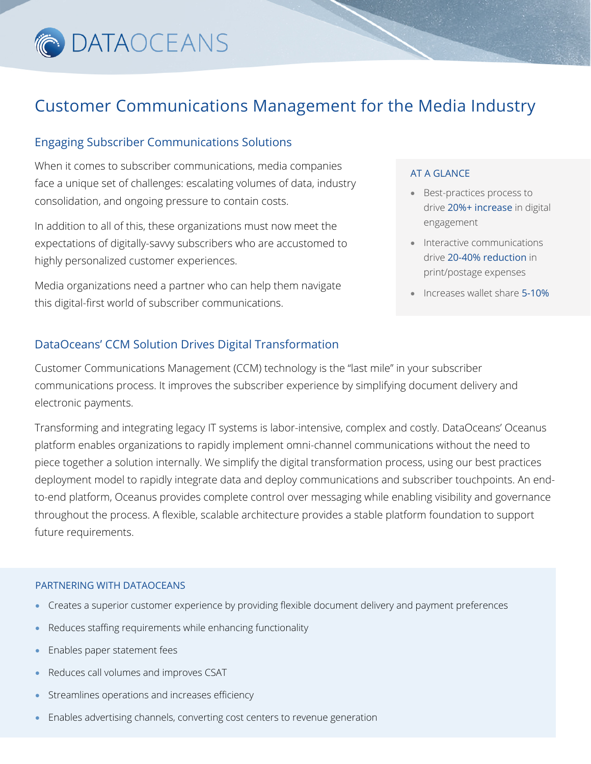

### Customer Communications Management for the Media Industry

#### Engaging Subscriber Communications Solutions

When it comes to subscriber communications, media companies face a unique set of challenges: escalating volumes of data, industry consolidation, and ongoing pressure to contain costs.

In addition to all of this, these organizations must now meet the expectations of digitally-savvy subscribers who are accustomed to highly personalized customer experiences.

Media organizations need a partner who can help them navigate this digital-first world of subscriber communications.

#### AT A GLANCE

- Best-practices process to drive 20%+ increase in digital engagement
- Interactive communications drive 20-40% reduction in print/postage expenses
- Increases wallet share 5-10%

#### DataOceans' CCM Solution Drives Digital Transformation

Customer Communications Management (CCM) technology is the "last mile" in your subscriber communications process. It improves the subscriber experience by simplifying document delivery and electronic payments.

Transforming and integrating legacy IT systems is labor-intensive, complex and costly. DataOceans' Oceanus platform enables organizations to rapidly implement omni-channel communications without the need to piece together a solution internally. We simplify the digital transformation process, using our best practices deployment model to rapidly integrate data and deploy communications and subscriber touchpoints. An endto-end platform, Oceanus provides complete control over messaging while enabling visibility and governance throughout the process. A flexible, scalable architecture provides a stable platform foundation to support future requirements.

#### PARTNERING WITH DATAOCEANS

- Creates a superior customer experience by providing flexible document delivery and payment preferences
- Reduces staffing requirements while enhancing functionality
- Enables paper statement fees
- Reduces call volumes and improves CSAT
- Streamlines operations and increases efficiency
- Enables advertising channels, converting cost centers to revenue generation